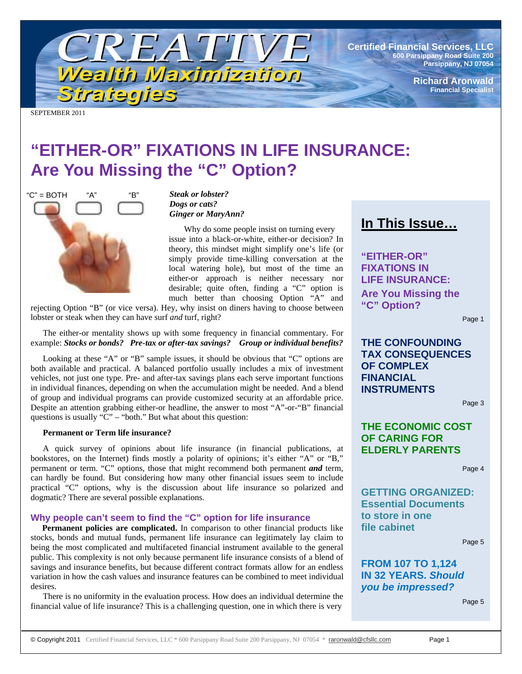

**Certified Financial Services, LLC 600 Parsippany Road Suite 200 Parsippany, NJ 07054**

> **Richard Aronwald Financial Specialist**

SEPTEMBER 2011

# **"EITHER-OR" FIXATIONS IN LIFE INSURANCE: Are You Missing the "C" Option?**



*Steak or lobster? Dogs or cats? Ginger or MaryAnn?* 

 Why do some people insist on turning every issue into a black-or-white, either-or decision? In theory, this mindset might simplify one's life (or simply provide time-killing conversation at the local watering hole), but most of the time an either-or approach is neither necessary nor desirable; quite often, finding a "C" option is much better than choosing Option "A" and

rejecting Option "B" (or vice versa). Hey, why insist on diners having to choose between lobster or steak when they can have surf *and* turf, right?

The either-or mentality shows up with some frequency in financial commentary. For example: *Stocks or bonds? Pre-tax or after-tax savings? Group or individual benefits?* 

Looking at these "A" or "B" sample issues, it should be obvious that "C" options are both available and practical. A balanced portfolio usually includes a mix of investment vehicles, not just one type. Pre- and after-tax savings plans each serve important functions in individual finances, depending on when the accumulation might be needed. And a blend of group and individual programs can provide customized security at an affordable price. Despite an attention grabbing either-or headline, the answer to most "A"-or-"B" financial questions is usually "C" – "both." But what about this question:

#### **Permanent or Term life insurance?**

A quick survey of opinions about life insurance (in financial publications, at bookstores, on the Internet) finds mostly a polarity of opinions; it's either "A" or "B," permanent or term. "C" options, those that might recommend both permanent *and* term, can hardly be found. But considering how many other financial issues seem to include practical "C" options, why is the discussion about life insurance so polarized and dogmatic? There are several possible explanations.

#### **Why people can't seem to find the "C" option for life insurance**

**Permanent policies are complicated.** In comparison to other financial products like stocks, bonds and mutual funds, permanent life insurance can legitimately lay claim to being the most complicated and multifaceted financial instrument available to the general public. This complexity is not only because permanent life insurance consists of a blend of savings and insurance benefits, but because different contract formats allow for an endless variation in how the cash values and insurance features can be combined to meet individual desires.

There is no uniformity in the evaluation process. How does an individual determine the financial value of life insurance? This is a challenging question, one in which there is very

# **In This Issue…**

**"EITHER-OR" FIXATIONS IN LIFE INSURANCE: Are You Missing the "C" Option?** 

Page 1

**THE CONFOUNDING TAX CONSEQUENCES OF COMPLEX FINANCIAL INSTRUMENTS** 

Page 3

# **THE ECONOMIC COST OF CARING FOR ELDERLY PARENTS**

Page 4

**GETTING ORGANIZED: Essential Documents to store in one file cabinet** 

Page 5

## **FROM 107 TO 1,124 IN 32 YEARS.** *Should you be impressed?*

Page 5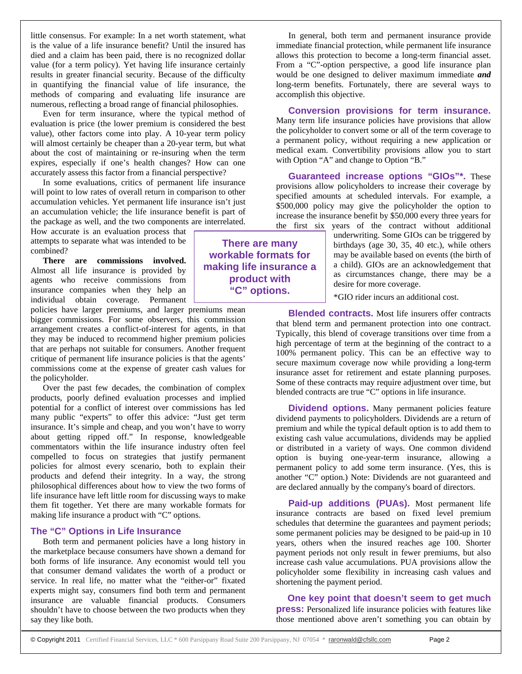little consensus. For example: In a net worth statement, what is the value of a life insurance benefit? Until the insured has died and a claim has been paid, there is no recognized dollar value (for a term policy). Yet having life insurance certainly results in greater financial security. Because of the difficulty in quantifying the financial value of life insurance, the methods of comparing and evaluating life insurance are numerous, reflecting a broad range of financial philosophies.

Even for term insurance, where the typical method of evaluation is price (the lower premium is considered the best value), other factors come into play. A 10-year term policy will almost certainly be cheaper than a 20-year term, but what about the cost of maintaining or re-insuring when the term expires, especially if one's health changes? How can one accurately assess this factor from a financial perspective?

In some evaluations, critics of permanent life insurance will point to low rates of overall return in comparison to other accumulation vehicles. Yet permanent life insurance isn't just an accumulation vehicle; the life insurance benefit is part of the package as well, and the two components are interrelated.

How accurate is an evaluation process that attempts to separate what was intended to be combined?

**There are commissions involved.** Almost all life insurance is provided by agents who receive commissions from insurance companies when they help an individual obtain coverage. Permanent

policies have larger premiums, and larger premiums mean bigger commissions. For some observers, this commission arrangement creates a conflict-of-interest for agents, in that they may be induced to recommend higher premium policies that are perhaps not suitable for consumers. Another frequent critique of permanent life insurance policies is that the agents' commissions come at the expense of greater cash values for the policyholder.

Over the past few decades, the combination of complex products, poorly defined evaluation processes and implied potential for a conflict of interest over commissions has led many public "experts" to offer this advice: "Just get term insurance. It's simple and cheap, and you won't have to worry about getting ripped off." In response, knowledgeable commentators within the life insurance industry often feel compelled to focus on strategies that justify permanent policies for almost every scenario, both to explain their products and defend their integrity. In a way, the strong philosophical differences about how to view the two forms of life insurance have left little room for discussing ways to make them fit together. Yet there are many workable formats for making life insurance a product with "C" options.

### **The "C" Options in Life Insurance**

Both term and permanent policies have a long history in the marketplace because consumers have shown a demand for both forms of life insurance. Any economist would tell you that consumer demand validates the worth of a product or service. In real life, no matter what the "either-or" fixated experts might say, consumers find both term and permanent insurance are valuable financial products. Consumers shouldn't have to choose between the two products when they say they like both.

In general, both term and permanent insurance provide immediate financial protection, while permanent life insurance allows this protection to become a long-term financial asset. From a "C"-option perspective, a good life insurance plan would be one designed to deliver maximum immediate *and* long-term benefits. Fortunately, there are several ways to accomplish this objective.

**Conversion provisions for term insurance.** Many term life insurance policies have provisions that allow the policyholder to convert some or all of the term coverage to a permanent policy, without requiring a new application or medical exam. Convertibility provisions allow you to start with Option "A" and change to Option "B."

**Guaranteed increase options "GIOs"\*.** These provisions allow policyholders to increase their coverage by specified amounts at scheduled intervals. For example, a \$500,000 policy may give the policyholder the option to increase the insurance benefit by \$50,000 every three years for the first six years of the contract without additional

underwriting. Some GIOs can be triggered by birthdays (age 30, 35, 40 etc.), while others may be available based on events (the birth of a child). GIOs are an acknowledgement that as circumstances change, there may be a desire for more coverage.

\*GIO rider incurs an additional cost.

**Blended contracts.** Most life insurers offer contracts that blend term and permanent protection into one contract. Typically, this blend of coverage transitions over time from a high percentage of term at the beginning of the contract to a 100% permanent policy. This can be an effective way to secure maximum coverage now while providing a long-term insurance asset for retirement and estate planning purposes. Some of these contracts may require adjustment over time, but blended contracts are true "C" options in life insurance.

**Dividend options.** Many permanent policies feature dividend payments to policyholders. Dividends are a return of premium and while the typical default option is to add them to existing cash value accumulations, dividends may be applied or distributed in a variety of ways. One common dividend option is buying one-year-term insurance, allowing a permanent policy to add some term insurance. (Yes, this is another "C" option.) Note: Dividends are not guaranteed and are declared annually by the company's board of directors.

Paid-up additions (PUAs). Most permanent life insurance contracts are based on fixed level premium schedules that determine the guarantees and payment periods; some permanent policies may be designed to be paid-up in 10 years, others when the insured reaches age 100. Shorter payment periods not only result in fewer premiums, but also increase cash value accumulations. PUA provisions allow the policyholder some flexibility in increasing cash values and shortening the payment period.

 **One key point that doesn't seem to get much press:** Personalized life insurance policies with features like those mentioned above aren't something you can obtain by

**There are many workable formats for making life insurance a product with "C" options.**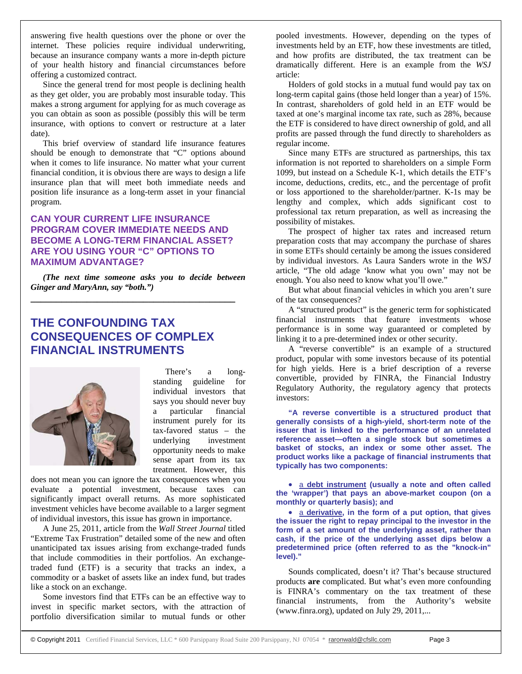answering five health questions over the phone or over the internet. These policies require individual underwriting, because an insurance company wants a more in-depth picture of your health history and financial circumstances before offering a customized contract.

Since the general trend for most people is declining health as they get older, you are probably most insurable today. This makes a strong argument for applying for as much coverage as you can obtain as soon as possible (possibly this will be term insurance, with options to convert or restructure at a later date).

This brief overview of standard life insurance features should be enough to demonstrate that "C" options abound when it comes to life insurance. No matter what your current financial condition, it is obvious there are ways to design a life insurance plan that will meet both immediate needs and position life insurance as a long-term asset in your financial program.

## **CAN YOUR CURRENT LIFE INSURANCE PROGRAM COVER IMMEDIATE NEEDS AND BECOME A LONG-TERM FINANCIAL ASSET? ARE YOU USING YOUR "C" OPTIONS TO MAXIMUM ADVANTAGE?**

*(The next time someone asks you to decide between Ginger and MaryAnn, say "both.")* 

**\_\_\_\_\_\_\_\_\_\_\_\_\_\_\_\_\_\_\_\_\_\_\_\_\_\_\_\_\_\_\_\_\_\_\_\_\_\_\_\_** 

# **THE CONFOUNDING TAX CONSEQUENCES OF COMPLEX FINANCIAL INSTRUMENTS**



There's a longstanding guideline for individual investors that says you should never buy a particular financial instrument purely for its tax-favored status – the underlying investment opportunity needs to make sense apart from its tax treatment. However, this

does not mean you can ignore the tax consequences when you evaluate a potential investment, because taxes can significantly impact overall returns. As more sophisticated investment vehicles have become available to a larger segment of individual investors, this issue has grown in importance.

A June 25, 2011, article from the *Wall Street Journal* titled "Extreme Tax Frustration" detailed some of the new and often unanticipated tax issues arising from exchange-traded funds that include commodities in their portfolios. An exchangetraded fund (ETF) is a security that tracks an index, a commodity or a basket of assets like an index fund, but trades like a stock on an exchange.

Some investors find that ETFs can be an effective way to invest in specific market sectors, with the attraction of portfolio diversification similar to mutual funds or other

pooled investments. However, depending on the types of investments held by an ETF, how these investments are titled, and how profits are distributed, the tax treatment can be dramatically different. Here is an example from the *WSJ* article:

Holders of gold stocks in a mutual fund would pay tax on long-term capital gains (those held longer than a year) of 15%. In contrast, shareholders of gold held in an ETF would be taxed at one's marginal income tax rate, such as 28%, because the ETF is considered to have direct ownership of gold, and all profits are passed through the fund directly to shareholders as regular income.

Since many ETFs are structured as partnerships, this tax information is not reported to shareholders on a simple Form 1099, but instead on a Schedule K-1, which details the ETF's income, deductions, credits, etc., and the percentage of profit or loss apportioned to the shareholder/partner. K-1s may be lengthy and complex, which adds significant cost to professional tax return preparation, as well as increasing the possibility of mistakes.

The prospect of higher tax rates and increased return preparation costs that may accompany the purchase of shares in some ETFs should certainly be among the issues considered by individual investors. As Laura Sanders wrote in the *WSJ*  article, "The old adage 'know what you own' may not be enough. You also need to know what you'll owe."

But what about financial vehicles in which you aren't sure of the tax consequences?

A "structured product" is the generic term for sophisticated financial instruments that feature investments whose performance is in some way guaranteed or completed by linking it to a pre-determined index or other security.

A "reverse convertible" is an example of a structured product, popular with some investors because of its potential for high yields. Here is a brief description of a reverse convertible, provided by FINRA, the Financial Industry Regulatory Authority, the regulatory agency that protects investors:

**"A reverse convertible is a structured product that generally consists of a high-yield, short-term note of the issuer that is linked to the performance of an unrelated reference asset—often a single stock but sometimes a basket of stocks, an index or some other asset. The product works like a package of financial instruments that typically has two components:** 

 a **debt instrument (usually a note and often called the 'wrapper') that pays an above-market coupon (on a monthly or quarterly basis); and** 

 a **derivative, in the form of a put option, that gives the issuer the right to repay principal to the investor in the form of a set amount of the underlying asset, rather than cash, if the price of the underlying asset dips below a predetermined price (often referred to as the "knock-in" level)."** 

Sounds complicated, doesn't it? That's because structured products **are** complicated. But what's even more confounding is FINRA's commentary on the tax treatment of these financial instruments, from the Authority's website (www.finra.org), updated on July 29, 2011,...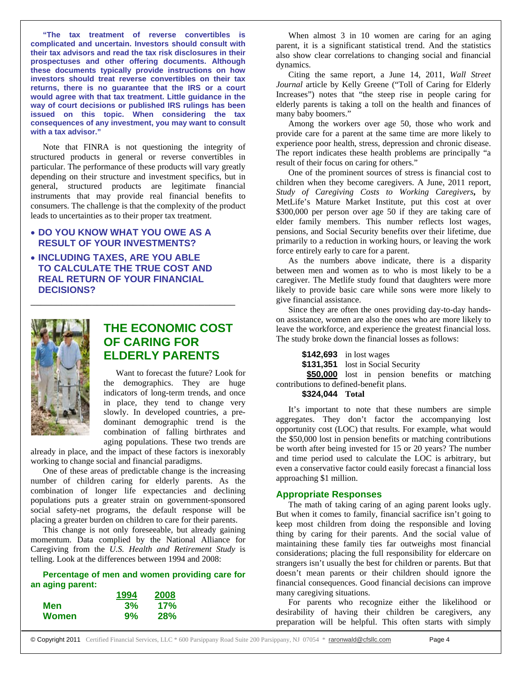**"The tax treatment of reverse convertibles is complicated and uncertain. Investors should consult with their tax advisors and read the tax risk disclosures in their prospectuses and other offering documents. Although these documents typically provide instructions on how investors should treat reverse convertibles on their tax returns, there is no guarantee that the IRS or a court would agree with that tax treatment. Little guidance in the way of court decisions or published IRS rulings has been issued on this topic. When considering the tax consequences of any investment, you may want to consult with a tax advisor."** 

Note that FINRA is not questioning the integrity of structured products in general or reverse convertibles in particular. The performance of these products will vary greatly depending on their structure and investment specifics, but in general, structured products are legitimate financial instruments that may provide real financial benefits to consumers. The challenge is that the complexity of the product leads to uncertainties as to their proper tax treatment.

### **DO YOU KNOW WHAT YOU OWE AS A RESULT OF YOUR INVESTMENTS?**

 **INCLUDING TAXES, ARE YOU ABLE TO CALCULATE THE TRUE COST AND REAL RETURN OF YOUR FINANCIAL DECISIONS?** 

\_\_\_\_\_\_\_\_\_\_\_\_\_\_\_\_\_\_\_\_\_\_\_\_\_\_\_\_\_\_\_\_\_\_\_\_\_\_\_\_



# **THE ECONOMIC COST OF CARING FOR ELDERLY PARENTS**

Want to forecast the future? Look for the demographics. They are huge indicators of long-term trends, and once in place, they tend to change very slowly. In developed countries, a predominant demographic trend is the combination of falling birthrates and aging populations. These two trends are

already in place, and the impact of these factors is inexorably working to change social and financial paradigms.

One of these areas of predictable change is the increasing number of children caring for elderly parents. As the combination of longer life expectancies and declining populations puts a greater strain on government-sponsored social safety-net programs, the default response will be placing a greater burden on children to care for their parents.

This change is not only foreseeable, but already gaining momentum. Data complied by the National Alliance for Caregiving from the *U.S. Health and Retirement Study* is telling. Look at the differences between 1994 and 2008:

#### **Percentage of men and women providing care for an aging parent:**

|       | 1994 | 2008       |
|-------|------|------------|
| Men   | 3%   | 17%        |
| Women | 9%   | <b>28%</b> |

When almost 3 in 10 women are caring for an aging parent, it is a significant statistical trend. And the statistics also show clear correlations to changing social and financial dynamics.

Citing the same report, a June 14, 2011, *Wall Street Journal* article by Kelly Greene ("Toll of Caring for Elderly Increases") notes that "the steep rise in people caring for elderly parents is taking a toll on the health and finances of many baby boomers."

Among the workers over age 50, those who work and provide care for a parent at the same time are more likely to experience poor health, stress, depression and chronic disease. The report indicates these health problems are principally "a result of their focus on caring for others."

One of the prominent sources of stress is financial cost to children when they become caregivers. A June, 2011 report, *Study of Caregiving Costs to Working Caregivers***,** by MetLife's Mature Market Institute, put this cost at over \$300,000 per person over age 50 if they are taking care of elder family members. This number reflects lost wages, pensions, and Social Security benefits over their lifetime, due primarily to a reduction in working hours, or leaving the work force entirely early to care for a parent.

As the numbers above indicate, there is a disparity between men and women as to who is most likely to be a caregiver. The Metlife study found that daughters were more likely to provide basic care while sons were more likely to give financial assistance.

Since they are often the ones providing day-to-day handson assistance, women are also the ones who are more likely to leave the workforce, and experience the greatest financial loss. The study broke down the financial losses as follows:

**\$142,693** in lost wages **\$131,351** lost in Social Security **\$50,000** lost in pension benefits or matching contributions to defined-benefit plans.

#### **\$324,044 Total**

It's important to note that these numbers are simple aggregates. They don't factor the accompanying lost opportunity cost (LOC) that results. For example, what would the \$50,000 lost in pension benefits or matching contributions be worth after being invested for 15 or 20 years? The number and time period used to calculate the LOC is arbitrary, but even a conservative factor could easily forecast a financial loss approaching \$1 million.

#### **Appropriate Responses**

The math of taking caring of an aging parent looks ugly. But when it comes to family, financial sacrifice isn't going to keep most children from doing the responsible and loving thing by caring for their parents. And the social value of maintaining these family ties far outweighs most financial considerations; placing the full responsibility for eldercare on strangers isn't usually the best for children or parents. But that doesn't mean parents or their children should ignore the financial consequences. Good financial decisions can improve many caregiving situations.

For parents who recognize either the likelihood or desirability of having their children be caregivers, any preparation will be helpful. This often starts with simply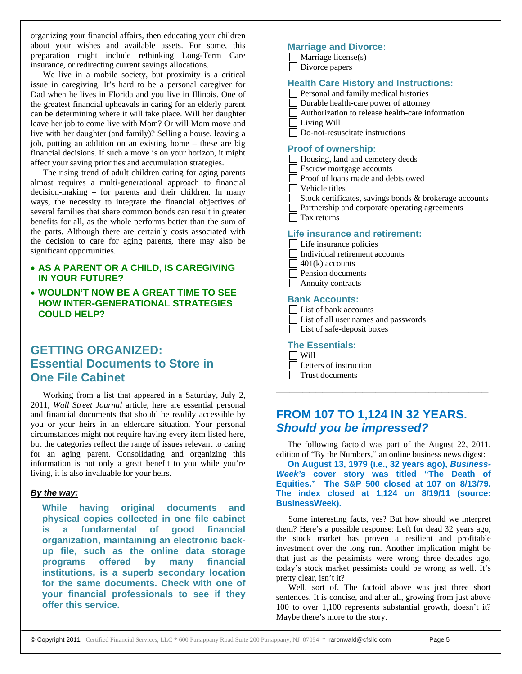organizing your financial affairs, then educating your children about your wishes and available assets. For some, this preparation might include rethinking Long-Term Care insurance, or redirecting current savings allocations.

We live in a mobile society, but proximity is a critical issue in caregiving. It's hard to be a personal caregiver for Dad when he lives in Florida and you live in Illinois. One of the greatest financial upheavals in caring for an elderly parent can be determining where it will take place. Will her daughter leave her job to come live with Mom? Or will Mom move and live with her daughter (and family)? Selling a house, leaving a job, putting an addition on an existing home – these are big financial decisions. If such a move is on your horizon, it might affect your saving priorities and accumulation strategies.

The rising trend of adult children caring for aging parents almost requires a multi-generational approach to financial decision-making – for parents and their children. In many ways, the necessity to integrate the financial objectives of several families that share common bonds can result in greater benefits for all, as the whole performs better than the sum of the parts. Although there are certainly costs associated with the decision to care for aging parents, there may also be significant opportunities.

### **AS A PARENT OR A CHILD, IS CAREGIVING IN YOUR FUTURE?**

 **WOULDN'T NOW BE A GREAT TIME TO SEE HOW INTER-GENERATIONAL STRATEGIES COULD HELP?** 

\_\_\_\_\_\_\_\_\_\_\_\_\_\_\_\_\_\_\_\_\_\_\_\_\_\_\_\_\_\_\_\_\_\_\_\_\_\_\_\_\_\_\_\_\_\_\_\_\_

# **GETTING ORGANIZED: Essential Documents to Store in One File Cabinet**

Working from a list that appeared in a Saturday, July 2, 2011, *Wall Street Journal* article, here are essential personal and financial documents that should be readily accessible by you or your heirs in an eldercare situation. Your personal circumstances might not require having every item listed here, but the categories reflect the range of issues relevant to caring for an aging parent. Consolidating and organizing this information is not only a great benefit to you while you're living, it is also invaluable for your heirs.

### *By the way:*

**While having original documents and physical copies collected in one file cabinet is a fundamental of good financial organization, maintaining an electronic backup file, such as the online data storage programs offered by many financial institutions, is a superb secondary location for the same documents. Check with one of your financial professionals to see if they offer this service.** 

### **Marriage and Divorce:**

 $\Box$  Marriage license(s) Divorce papers

#### **Health Care History and Instructions:**

- Personal and family medical histories
- Durable health-care power of attorney
	- Authorization to release health-care information
- Living Will
- Do-not-resuscitate instructions

#### **Proof of ownership:**

| Housing, land and cemetery deeds                       |
|--------------------------------------------------------|
| <b>Exerow mortgage accounts</b>                        |
| Proof of loans made and debts owed                     |
| Vehicle titles                                         |
| Stock certificates, savings bonds & brokerage accounts |
| <b>Partnership and corporate operating agreements</b>  |
| Tax returns                                            |
|                                                        |

#### **Life insurance and retirement:**

- □ Life insurance policies
	- Individual retirement accounts
- $\Box$  401(k) accounts
- Pension documents
- $\Box$  Annuity contracts

#### **Bank Accounts:**

- List of bank accounts
- List of all user names and passwords
- List of safe-deposit boxes

#### **The Essentials:**

 $\Box$  Will Letters of instruction Trust documents

# **FROM 107 TO 1,124 IN 32 YEARS.**  *Should you be impressed?*

The following factoid was part of the August 22, 2011, edition of "By the Numbers," an online business news digest:

**\_\_\_\_\_\_\_\_\_\_\_\_\_\_\_\_\_\_\_\_\_\_\_\_\_\_\_\_\_\_\_\_** 

**On August 13, 1979 (i.e., 32 years ago),** *Business-Week's* **cover story was titled "The Death of Equities." The S&P 500 closed at 107 on 8/13/79. The index closed at 1,124 on 8/19/11 (source: BusinessWeek).**

Some interesting facts, yes? But how should we interpret them? Here's a possible response: Left for dead 32 years ago, the stock market has proven a resilient and profitable investment over the long run. Another implication might be that just as the pessimists were wrong three decades ago, today's stock market pessimists could be wrong as well. It's pretty clear, isn't it?

Well, sort of. The factoid above was just three short sentences. It is concise, and after all, growing from just above 100 to over 1,100 represents substantial growth, doesn't it? Maybe there's more to the story.